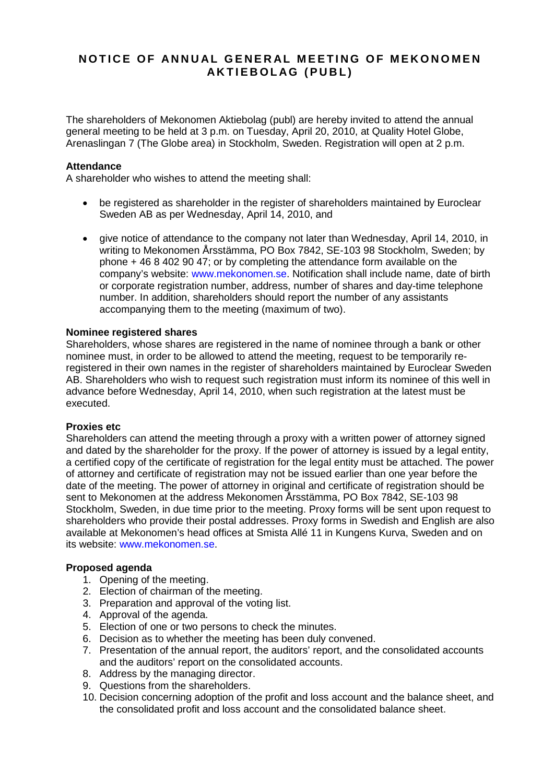# **NOTICE OF ANNUAL GENERAL MEETING OF MEKONOMEN AKTIEBOLAG (PUBL)**

The shareholders of Mekonomen Aktiebolag (publ) are hereby invited to attend the annual general meeting to be held at 3 p.m. on Tuesday, April 20, 2010, at Quality Hotel Globe, Arenaslingan 7 (The Globe area) in Stockholm, Sweden. Registration will open at 2 p.m.

## **Attendance**

A shareholder who wishes to attend the meeting shall:

- be registered as shareholder in the register of shareholders maintained by Euroclear Sweden AB as per Wednesday, April 14, 2010, and
- give notice of attendance to the company not later than Wednesday, April 14, 2010, in writing to Mekonomen Årsstämma, PO Box 7842, SE-103 98 Stockholm, Sweden; by phone + 46 8 402 90 47; or by completing the attendance form available on the company's website: [www.mekonomen.se.](http://www.mekonomen.se/) Notification shall include name, date of birth or corporate registration number, address, number of shares and day-time telephone number. In addition, shareholders should report the number of any assistants accompanying them to the meeting (maximum of two).

## **Nominee registered shares**

Shareholders, whose shares are registered in the name of nominee through a bank or other nominee must, in order to be allowed to attend the meeting, request to be temporarily reregistered in their own names in the register of shareholders maintained by Euroclear Sweden AB. Shareholders who wish to request such registration must inform its nominee of this well in advance before Wednesday, April 14, 2010, when such registration at the latest must be executed.

#### **Proxies etc**

Shareholders can attend the meeting through a proxy with a written power of attorney signed and dated by the shareholder for the proxy. If the power of attorney is issued by a legal entity, a certified copy of the certificate of registration for the legal entity must be attached. The power of attorney and certificate of registration may not be issued earlier than one year before the date of the meeting. The power of attorney in original and certificate of registration should be sent to Mekonomen at the address Mekonomen Årsstämma, PO Box 7842, SE-103 98 Stockholm, Sweden, in due time prior to the meeting. Proxy forms will be sent upon request to shareholders who provide their postal addresses. Proxy forms in Swedish and English are also available at Mekonomen's head offices at Smista Allé 11 in Kungens Kurva, Sweden and on its website: [www.mekonomen.se.](http://www.mekonomen.se/)

#### **Proposed agenda**

- 1. Opening of the meeting.
- 2. Election of chairman of the meeting.
- 3. Preparation and approval of the voting list.
- 4. Approval of the agenda.
- 5. Election of one or two persons to check the minutes.
- 6. Decision as to whether the meeting has been duly convened.
- 7. Presentation of the annual report, the auditors' report, and the consolidated accounts and the auditors' report on the consolidated accounts.
- 8. Address by the managing director.
- 9. Questions from the shareholders.
- 10. Decision concerning adoption of the profit and loss account and the balance sheet, and the consolidated profit and loss account and the consolidated balance sheet.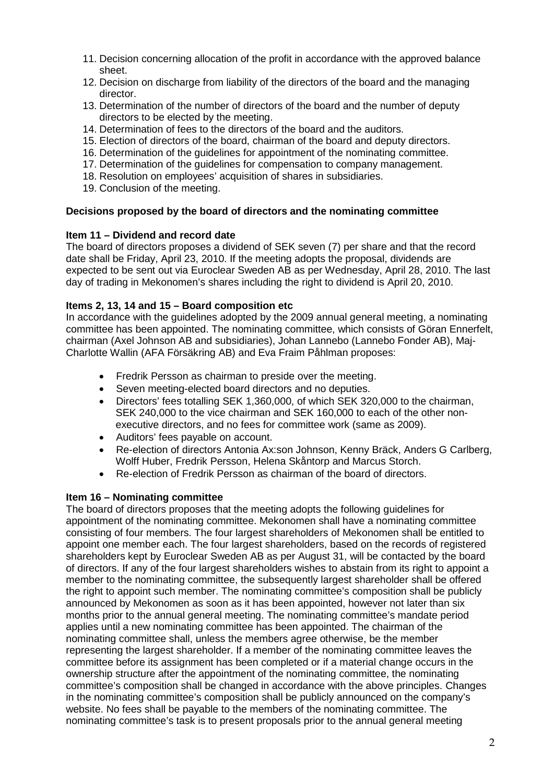- 11. Decision concerning allocation of the profit in accordance with the approved balance sheet.
- 12. Decision on discharge from liability of the directors of the board and the managing director.
- 13. Determination of the number of directors of the board and the number of deputy directors to be elected by the meeting.
- 14. Determination of fees to the directors of the board and the auditors.
- 15. Election of directors of the board, chairman of the board and deputy directors.
- 16. Determination of the guidelines for appointment of the nominating committee.
- 17. Determination of the guidelines for compensation to company management.
- 18. Resolution on employees' acquisition of shares in subsidiaries.
- 19. Conclusion of the meeting.

## **Decisions proposed by the board of directors and the nominating committee**

## **Item 11 – Dividend and record date**

The board of directors proposes a dividend of SEK seven (7) per share and that the record date shall be Friday, April 23, 2010. If the meeting adopts the proposal, dividends are expected to be sent out via Euroclear Sweden AB as per Wednesday, April 28, 2010. The last day of trading in Mekonomen's shares including the right to dividend is April 20, 2010.

## **Items 2, 13, 14 and 15 – Board composition etc**

In accordance with the guidelines adopted by the 2009 annual general meeting, a nominating committee has been appointed. The nominating committee, which consists of Göran Ennerfelt, chairman (Axel Johnson AB and subsidiaries), Johan Lannebo (Lannebo Fonder AB), Maj-Charlotte Wallin (AFA Försäkring AB) and Eva Fraim Påhlman proposes:

- Fredrik Persson as chairman to preside over the meeting.
- Seven meeting-elected board directors and no deputies.
- Directors' fees totalling SEK 1,360,000, of which SEK 320,000 to the chairman, SEK 240,000 to the vice chairman and SEK 160,000 to each of the other nonexecutive directors, and no fees for committee work (same as 2009).
- Auditors' fees payable on account.
- Re-election of directors Antonia Ax:son Johnson, Kenny Bräck, Anders G Carlberg, Wolff Huber, Fredrik Persson, Helena Skåntorp and Marcus Storch.
- Re-election of Fredrik Persson as chairman of the board of directors.

## **Item 16 – Nominating committee**

The board of directors proposes that the meeting adopts the following guidelines for appointment of the nominating committee. Mekonomen shall have a nominating committee consisting of four members. The four largest shareholders of Mekonomen shall be entitled to appoint one member each. The four largest shareholders, based on the records of registered shareholders kept by Euroclear Sweden AB as per August 31, will be contacted by the board of directors. If any of the four largest shareholders wishes to abstain from its right to appoint a member to the nominating committee, the subsequently largest shareholder shall be offered the right to appoint such member. The nominating committee's composition shall be publicly announced by Mekonomen as soon as it has been appointed, however not later than six months prior to the annual general meeting. The nominating committee's mandate period applies until a new nominating committee has been appointed. The chairman of the nominating committee shall, unless the members agree otherwise, be the member representing the largest shareholder. If a member of the nominating committee leaves the committee before its assignment has been completed or if a material change occurs in the ownership structure after the appointment of the nominating committee, the nominating committee's composition shall be changed in accordance with the above principles. Changes in the nominating committee's composition shall be publicly announced on the company's website. No fees shall be payable to the members of the nominating committee. The nominating committee's task is to present proposals prior to the annual general meeting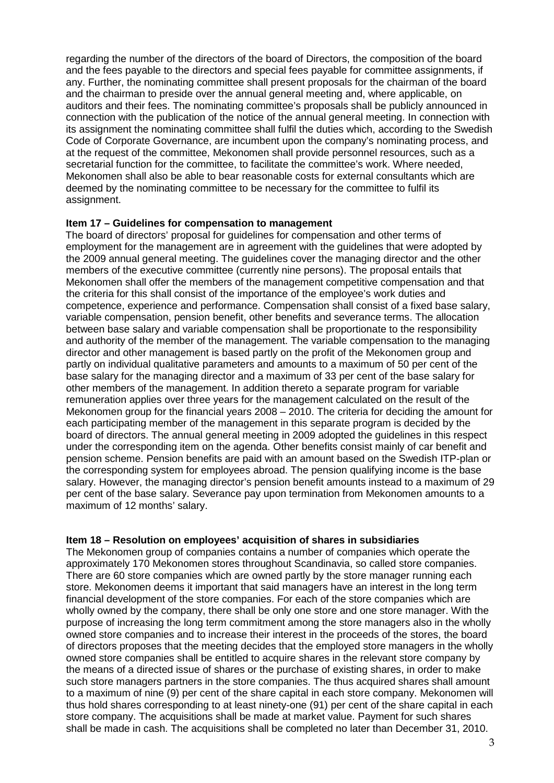regarding the number of the directors of the board of Directors, the composition of the board and the fees payable to the directors and special fees payable for committee assignments, if any. Further, the nominating committee shall present proposals for the chairman of the board and the chairman to preside over the annual general meeting and, where applicable, on auditors and their fees. The nominating committee's proposals shall be publicly announced in connection with the publication of the notice of the annual general meeting. In connection with its assignment the nominating committee shall fulfil the duties which, according to the Swedish Code of Corporate Governance, are incumbent upon the company's nominating process, and at the request of the committee, Mekonomen shall provide personnel resources, such as a secretarial function for the committee, to facilitate the committee's work. Where needed, Mekonomen shall also be able to bear reasonable costs for external consultants which are deemed by the nominating committee to be necessary for the committee to fulfil its assignment.

## **Item 17 – Guidelines for compensation to management**

The board of directors' proposal for guidelines for compensation and other terms of employment for the management are in agreement with the guidelines that were adopted by the 2009 annual general meeting. The guidelines cover the managing director and the other members of the executive committee (currently nine persons). The proposal entails that Mekonomen shall offer the members of the management competitive compensation and that the criteria for this shall consist of the importance of the employee's work duties and competence, experience and performance. Compensation shall consist of a fixed base salary, variable compensation, pension benefit, other benefits and severance terms. The allocation between base salary and variable compensation shall be proportionate to the responsibility and authority of the member of the management. The variable compensation to the managing director and other management is based partly on the profit of the Mekonomen group and partly on individual qualitative parameters and amounts to a maximum of 50 per cent of the base salary for the managing director and a maximum of 33 per cent of the base salary for other members of the management. In addition thereto a separate program for variable remuneration applies over three years for the management calculated on the result of the Mekonomen group for the financial years 2008 – 2010. The criteria for deciding the amount for each participating member of the management in this separate program is decided by the board of directors. The annual general meeting in 2009 adopted the guidelines in this respect under the corresponding item on the agenda. Other benefits consist mainly of car benefit and pension scheme. Pension benefits are paid with an amount based on the Swedish ITP-plan or the corresponding system for employees abroad. The pension qualifying income is the base salary. However, the managing director's pension benefit amounts instead to a maximum of 29 per cent of the base salary. Severance pay upon termination from Mekonomen amounts to a maximum of 12 months' salary.

## **Item 18 – Resolution on employees' acquisition of shares in subsidiaries**

The Mekonomen group of companies contains a number of companies which operate the approximately 170 Mekonomen stores throughout Scandinavia, so called store companies. There are 60 store companies which are owned partly by the store manager running each store. Mekonomen deems it important that said managers have an interest in the long term financial development of the store companies. For each of the store companies which are wholly owned by the company, there shall be only one store and one store manager. With the purpose of increasing the long term commitment among the store managers also in the wholly owned store companies and to increase their interest in the proceeds of the stores, the board of directors proposes that the meeting decides that the employed store managers in the wholly owned store companies shall be entitled to acquire shares in the relevant store company by the means of a directed issue of shares or the purchase of existing shares, in order to make such store managers partners in the store companies. The thus acquired shares shall amount to a maximum of nine (9) per cent of the share capital in each store company. Mekonomen will thus hold shares corresponding to at least ninety-one (91) per cent of the share capital in each store company. The acquisitions shall be made at market value. Payment for such shares shall be made in cash. The acquisitions shall be completed no later than December 31, 2010.